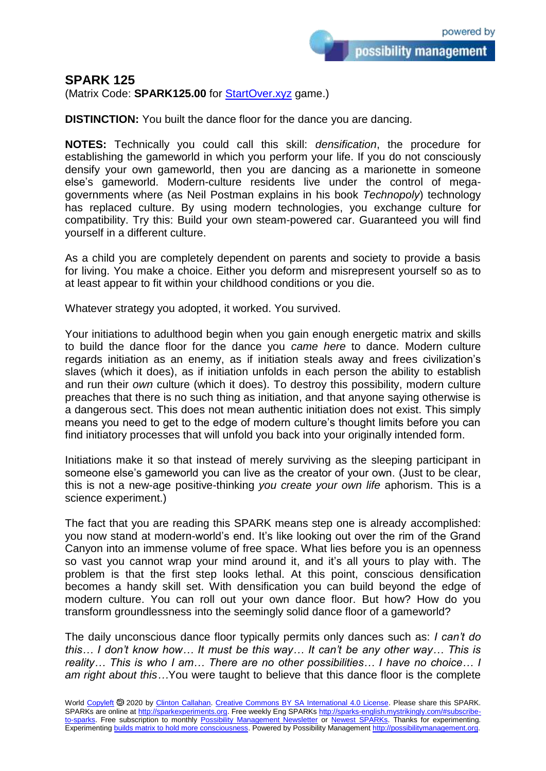## **SPARK 125**

(Matrix Code: **SPARK125.00** for **StartOver.xyz** game.)

**DISTINCTION:** You built the dance floor for the dance you are dancing.

**NOTES:** Technically you could call this skill: *densification*, the procedure for establishing the gameworld in which you perform your life. If you do not consciously densify your own gameworld, then you are dancing as a marionette in someone else's gameworld. Modern-culture residents live under the control of megagovernments where (as Neil Postman explains in his book *Technopoly*) technology has replaced culture. By using modern technologies, you exchange culture for compatibility. Try this: Build your own steam-powered car. Guaranteed you will find yourself in a different culture.

As a child you are completely dependent on parents and society to provide a basis for living. You make a choice. Either you deform and misrepresent yourself so as to at least appear to fit within your childhood conditions or you die.

Whatever strategy you adopted, it worked. You survived.

Your initiations to adulthood begin when you gain enough energetic matrix and skills to build the dance floor for the dance you *came here* to dance. Modern culture regards initiation as an enemy, as if initiation steals away and frees civilization's slaves (which it does), as if initiation unfolds in each person the ability to establish and run their *own* culture (which it does). To destroy this possibility, modern culture preaches that there is no such thing as initiation, and that anyone saying otherwise is a dangerous sect. This does not mean authentic initiation does not exist. This simply means you need to get to the edge of modern culture's thought limits before you can find initiatory processes that will unfold you back into your originally intended form.

Initiations make it so that instead of merely surviving as the sleeping participant in someone else's gameworld you can live as the creator of your own. (Just to be clear, this is not a new-age positive-thinking *you create your own life* aphorism. This is a science experiment.)

The fact that you are reading this SPARK means step one is already accomplished: you now stand at modern-world's end. It's like looking out over the rim of the Grand Canyon into an immense volume of free space. What lies before you is an openness so vast you cannot wrap your mind around it, and it's all yours to play with. The problem is that the first step looks lethal. At this point, conscious densification becomes a handy skill set. With densification you can build beyond the edge of modern culture. You can roll out your own dance floor. But how? How do you transform groundlessness into the seemingly solid dance floor of a gameworld?

The daily unconscious dance floor typically permits only dances such as: *I can't do this… I don't know how… It must be this way… It can't be any other way… This is reality… This is who I am… There are no other possibilities… I have no choice… I am right about this…*You were taught to believe that this dance floor is the complete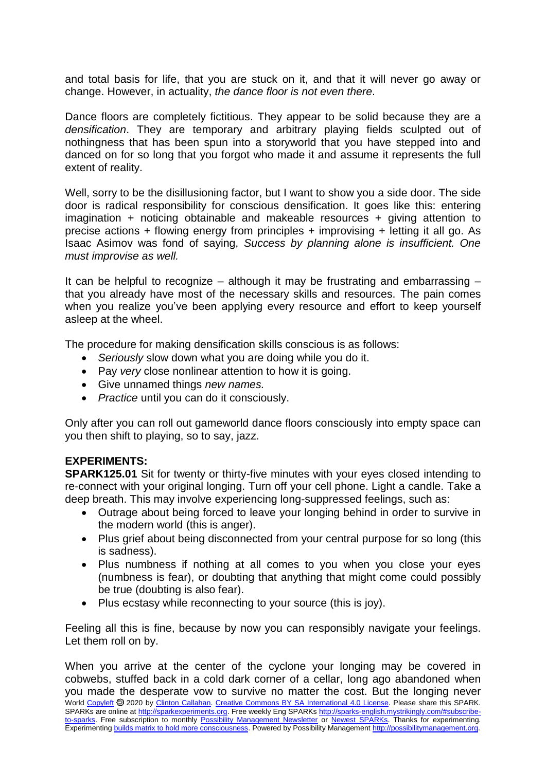and total basis for life, that you are stuck on it, and that it will never go away or change. However, in actuality, *the dance floor is not even there*.

Dance floors are completely fictitious. They appear to be solid because they are a *densification*. They are temporary and arbitrary playing fields sculpted out of nothingness that has been spun into a storyworld that you have stepped into and danced on for so long that you forgot who made it and assume it represents the full extent of reality.

Well, sorry to be the disillusioning factor, but I want to show you a side door. The side door is radical responsibility for conscious densification. It goes like this: entering imagination + noticing obtainable and makeable resources + giving attention to precise actions + flowing energy from principles + improvising + letting it all go. As Isaac Asimov was fond of saying, *Success by planning alone is insufficient. One must improvise as well.*

It can be helpful to recognize – although it may be frustrating and embarrassing  $$ that you already have most of the necessary skills and resources. The pain comes when you realize you've been applying every resource and effort to keep yourself asleep at the wheel.

The procedure for making densification skills conscious is as follows:

- *Seriously* slow down what you are doing while you do it.
- Pay *very* close nonlinear attention to how it is going.
- Give unnamed things *new names.*
- *Practice* until you can do it consciously.

Only after you can roll out gameworld dance floors consciously into empty space can you then shift to playing, so to say, jazz.

## **EXPERIMENTS:**

**SPARK125.01** Sit for twenty or thirty-five minutes with your eyes closed intending to re-connect with your original longing. Turn off your cell phone. Light a candle. Take a deep breath. This may involve experiencing long-suppressed feelings, such as:

- Outrage about being forced to leave your longing behind in order to survive in the modern world (this is anger).
- Plus grief about being disconnected from your central purpose for so long (this is sadness).
- Plus numbness if nothing at all comes to you when you close your eyes (numbness is fear), or doubting that anything that might come could possibly be true (doubting is also fear).
- Plus ecstasy while reconnecting to your source (this is joy).

Feeling all this is fine, because by now you can responsibly navigate your feelings. Let them roll on by.

World [Copyleft](https://en.wikipedia.org/wiki/Copyleft) <sup>®</sup> 2020 by [Clinton Callahan.](http://clintoncallahan.mystrikingly.com/) [Creative Commons BY SA International 4.0 License.](https://creativecommons.org/licenses/by-sa/4.0/) Please share this SPARK. SPARKs are online at [http://sparkexperiments.org.](http://sparks-english.mystrikingly.com/) Free weekly Eng SPARKs [http://sparks-english.mystrikingly.com/#subscribe](http://sparks-english.mystrikingly.com/#subscribe-to-sparks)[to-sparks.](http://sparks-english.mystrikingly.com/#subscribe-to-sparks) Free subscription to monthly [Possibility Management Newsletter](https://possibilitymanagement.org/news/) or [Newest SPARKs.](https://www.clintoncallahan.org/newsletter-1) Thanks for experimenting. Experimentin[g builds matrix to hold more consciousness.](http://spaceport.mystrikingly.com/) Powered by Possibility Managemen[t http://possibilitymanagement.org.](http://possibilitymanagement.org/) When you arrive at the center of the cyclone your longing may be covered in cobwebs, stuffed back in a cold dark corner of a cellar, long ago abandoned when you made the desperate vow to survive no matter the cost. But the longing never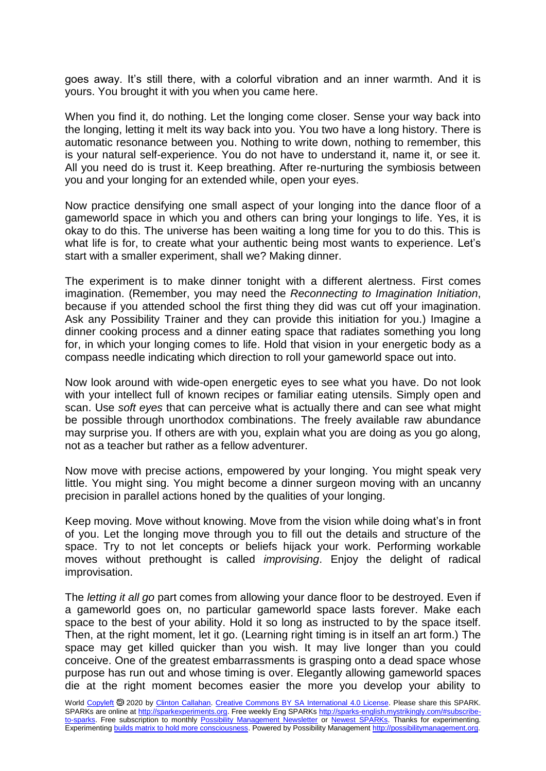goes away. It's still there, with a colorful vibration and an inner warmth. And it is yours. You brought it with you when you came here.

When you find it, do nothing. Let the longing come closer. Sense your way back into the longing, letting it melt its way back into you. You two have a long history. There is automatic resonance between you. Nothing to write down, nothing to remember, this is your natural self-experience. You do not have to understand it, name it, or see it. All you need do is trust it. Keep breathing. After re-nurturing the symbiosis between you and your longing for an extended while, open your eyes.

Now practice densifying one small aspect of your longing into the dance floor of a gameworld space in which you and others can bring your longings to life. Yes, it is okay to do this. The universe has been waiting a long time for you to do this. This is what life is for, to create what your authentic being most wants to experience. Let's start with a smaller experiment, shall we? Making dinner.

The experiment is to make dinner tonight with a different alertness. First comes imagination. (Remember, you may need the *Reconnecting to Imagination Initiation*, because if you attended school the first thing they did was cut off your imagination. Ask any Possibility Trainer and they can provide this initiation for you.) Imagine a dinner cooking process and a dinner eating space that radiates something you long for, in which your longing comes to life. Hold that vision in your energetic body as a compass needle indicating which direction to roll your gameworld space out into.

Now look around with wide-open energetic eyes to see what you have. Do not look with your intellect full of known recipes or familiar eating utensils. Simply open and scan. Use *soft eyes* that can perceive what is actually there and can see what might be possible through unorthodox combinations. The freely available raw abundance may surprise you. If others are with you, explain what you are doing as you go along, not as a teacher but rather as a fellow adventurer.

Now move with precise actions, empowered by your longing. You might speak very little. You might sing. You might become a dinner surgeon moving with an uncanny precision in parallel actions honed by the qualities of your longing.

Keep moving. Move without knowing. Move from the vision while doing what's in front of you. Let the longing move through you to fill out the details and structure of the space. Try to not let concepts or beliefs hijack your work. Performing workable moves without prethought is called *improvising*. Enjoy the delight of radical improvisation.

The *letting it all go* part comes from allowing your dance floor to be destroyed. Even if a gameworld goes on, no particular gameworld space lasts forever. Make each space to the best of your ability. Hold it so long as instructed to by the space itself. Then, at the right moment, let it go. (Learning right timing is in itself an art form.) The space may get killed quicker than you wish. It may live longer than you could conceive. One of the greatest embarrassments is grasping onto a dead space whose purpose has run out and whose timing is over. Elegantly allowing gameworld spaces die at the right moment becomes easier the more you develop your ability to